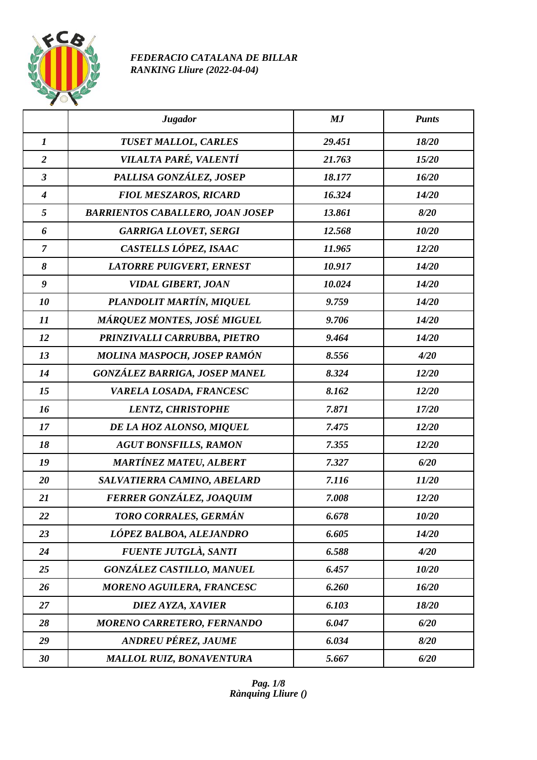

## *FEDERACIO CATALANA DE BILLAR RANKING Lliure (2022-04-04)*

|                  | <b>Jugador</b>                          | MJ     | <b>Punts</b> |
|------------------|-----------------------------------------|--------|--------------|
| $\boldsymbol{l}$ | <b>TUSET MALLOL, CARLES</b>             | 29.451 | 18/20        |
| $\overline{2}$   | VILALTA PARÉ, VALENTÍ                   | 21.763 | 15/20        |
| $\mathfrak{Z}$   | PALLISA GONZÁLEZ, JOSEP                 | 18.177 | 16/20        |
| $\boldsymbol{4}$ | <b>FIOL MESZAROS, RICARD</b>            | 16.324 | 14/20        |
| 5                | <b>BARRIENTOS CABALLERO, JOAN JOSEP</b> | 13.861 | 8/20         |
| 6                | <b>GARRIGA LLOVET, SERGI</b>            | 12.568 | 10/20        |
| $\overline{7}$   | CASTELLS LÓPEZ, ISAAC                   | 11.965 | 12/20        |
| 8                | <b>LATORRE PUIGVERT, ERNEST</b>         | 10.917 | 14/20        |
| $\boldsymbol{g}$ | <b>VIDAL GIBERT, JOAN</b>               | 10.024 | 14/20        |
| 10               | PLANDOLIT MARTÍN, MIQUEL                | 9.759  | 14/20        |
| 11               | MÁRQUEZ MONTES, JOSÉ MIGUEL             | 9.706  | 14/20        |
| 12               | PRINZIVALLI CARRUBBA, PIETRO            | 9.464  | 14/20        |
| 13               | MOLINA MASPOCH, JOSEP RAMÓN             | 8.556  | 4/20         |
| 14               | GONZÁLEZ BARRIGA, JOSEP MANEL           | 8.324  | 12/20        |
| 15               | VARELA LOSADA, FRANCESC                 | 8.162  | 12/20        |
| 16               | <b>LENTZ, CHRISTOPHE</b>                | 7.871  | 17/20        |
| 17               | DE LA HOZ ALONSO, MIQUEL                | 7.475  | 12/20        |
| 18               | <b>AGUT BONSFILLS, RAMON</b>            | 7.355  | 12/20        |
| 19               | <b>MARTÍNEZ MATEU, ALBERT</b>           | 7.327  | 6/20         |
| 20               | SALVATIERRA CAMINO, ABELARD             | 7.116  | 11/20        |
| 21               | FERRER GONZÁLEZ, JOAQUIM                | 7.008  | 12/20        |
| 22               | TORO CORRALES, GERMÁN                   | 6.678  | 10/20        |
| 23               | LÓPEZ BALBOA, ALEJANDRO                 | 6.605  | 14/20        |
| 24               | FUENTE JUTGLÀ, SANTI                    | 6.588  | 4/20         |
| 25               | <b>GONZÁLEZ CASTILLO, MANUEL</b>        | 6.457  | 10/20        |
| 26               | <b>MORENO AGUILERA, FRANCESC</b>        | 6.260  | 16/20        |
| 27               | DIEZ AYZA, XAVIER                       | 6.103  | 18/20        |
| 28               | MORENO CARRETERO, FERNANDO              | 6.047  | 6/20         |
| 29               | <b>ANDREU PÉREZ, JAUME</b>              | 6.034  | 8/20         |
| 30               | <b>MALLOL RUIZ, BONAVENTURA</b>         | 5.667  | 6/20         |

*Pag. 1/8 Rànquing Lliure ()*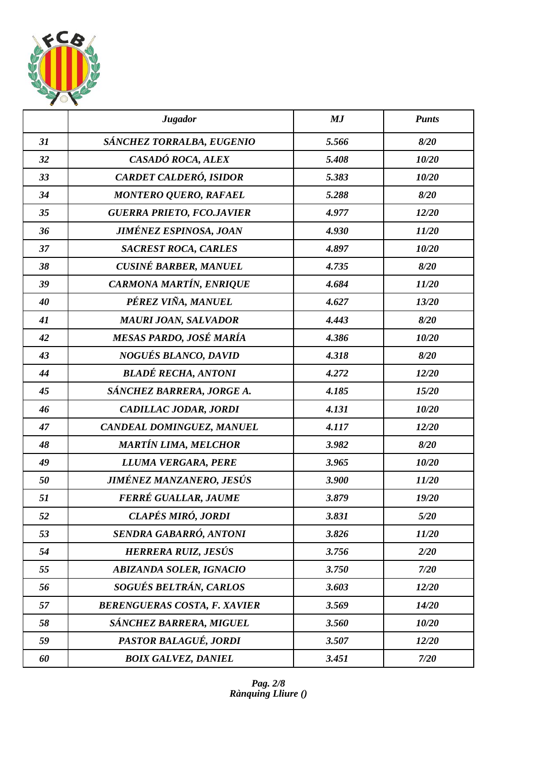

|    | <b>Jugador</b>                      | MJ    | <b>Punts</b> |
|----|-------------------------------------|-------|--------------|
| 31 | SÁNCHEZ TORRALBA, EUGENIO           | 5.566 | 8/20         |
| 32 | CASADÓ ROCA, ALEX                   | 5.408 | 10/20        |
| 33 | CARDET CALDERÓ, ISIDOR              | 5.383 | 10/20        |
| 34 | <b>MONTERO QUERO, RAFAEL</b>        | 5.288 | 8/20         |
| 35 | <b>GUERRA PRIETO, FCO.JAVIER</b>    | 4.977 | 12/20        |
| 36 | <b>JIMÉNEZ ESPINOSA, JOAN</b>       | 4.930 | 11/20        |
| 37 | <b>SACREST ROCA, CARLES</b>         | 4.897 | 10/20        |
| 38 | <b>CUSINÉ BARBER, MANUEL</b>        | 4.735 | 8/20         |
| 39 | CARMONA MARTÍN, ENRIQUE             | 4.684 | 11/20        |
| 40 | PÉREZ VIÑA, MANUEL                  | 4.627 | 13/20        |
| 41 | <b>MAURI JOAN, SALVADOR</b>         | 4.443 | 8/20         |
| 42 | MESAS PARDO, JOSÉ MARÍA             | 4.386 | 10/20        |
| 43 | <b>NOGUÉS BLANCO, DAVID</b>         | 4.318 | 8/20         |
| 44 | <b>BLADÉ RECHA, ANTONI</b>          | 4.272 | 12/20        |
| 45 | SÁNCHEZ BARRERA, JORGE A.           | 4.185 | 15/20        |
| 46 | CADILLAC JODAR, JORDI               | 4.131 | 10/20        |
| 47 | CANDEAL DOMINGUEZ, MANUEL           | 4.117 | 12/20        |
| 48 | <b>MARTÍN LIMA, MELCHOR</b>         | 3.982 | 8/20         |
| 49 | LLUMA VERGARA, PERE                 | 3.965 | 10/20        |
| 50 | JIMÉNEZ MANZANERO, JESÚS            | 3.900 | 11/20        |
| 51 | FERRÉ GUALLAR, JAUME                | 3.879 | 19/20        |
| 52 | CLAPÉS MIRÓ, JORDI                  | 3.831 | 5/20         |
| 53 | SENDRA GABARRÓ, ANTONI              | 3.826 | 11/20        |
| 54 | <b>HERRERA RUIZ, JESÚS</b>          | 3.756 | 2/20         |
| 55 | <b>ABIZANDA SOLER, IGNACIO</b>      | 3.750 | 7/20         |
| 56 | SOGUÉS BELTRÁN, CARLOS              | 3.603 | 12/20        |
| 57 | <b>BERENGUERAS COSTA, F. XAVIER</b> | 3.569 | 14/20        |
| 58 | SÁNCHEZ BARRERA, MIGUEL             | 3.560 | 10/20        |
| 59 | PASTOR BALAGUÉ, JORDI               | 3.507 | 12/20        |
| 60 | <b>BOIX GALVEZ, DANIEL</b>          | 3.451 | 7/20         |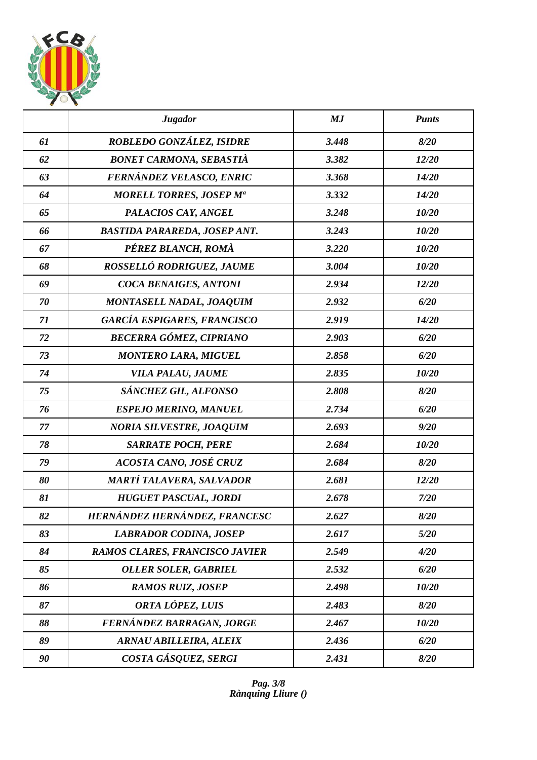

|    | <b>Jugador</b>                      | MJ    | <b>Punts</b> |
|----|-------------------------------------|-------|--------------|
| 61 | ROBLEDO GONZÁLEZ, ISIDRE            | 3.448 | 8/20         |
| 62 | <b>BONET CARMONA, SEBASTIÀ</b>      | 3.382 | 12/20        |
| 63 | FERNÁNDEZ VELASCO, ENRIC            | 3.368 | 14/20        |
| 64 | <b>MORELL TORRES, JOSEP Ma</b>      | 3.332 | 14/20        |
| 65 | PALACIOS CAY, ANGEL                 | 3.248 | 10/20        |
| 66 | <b>BASTIDA PARAREDA, JOSEP ANT.</b> | 3.243 | 10/20        |
| 67 | PÉREZ BLANCH, ROMÀ                  | 3.220 | 10/20        |
| 68 | ROSSELLÓ RODRIGUEZ, JAUME           | 3.004 | 10/20        |
| 69 | COCA BENAIGES, ANTONI               | 2.934 | 12/20        |
| 70 | <b>MONTASELL NADAL, JOAQUIM</b>     | 2.932 | 6/20         |
| 71 | <b>GARCÍA ESPIGARES, FRANCISCO</b>  | 2.919 | 14/20        |
| 72 | <b>BECERRA GÓMEZ, CIPRIANO</b>      | 2.903 | 6/20         |
| 73 | <b>MONTERO LARA, MIGUEL</b>         | 2.858 | 6/20         |
| 74 | VILA PALAU, JAUME                   | 2.835 | 10/20        |
| 75 | SÁNCHEZ GIL, ALFONSO                | 2.808 | 8/20         |
| 76 | <b>ESPEJO MERINO, MANUEL</b>        | 2.734 | 6/20         |
| 77 | <b>NORIA SILVESTRE, JOAQUIM</b>     | 2.693 | 9/20         |
| 78 | <b>SARRATE POCH, PERE</b>           | 2.684 | 10/20        |
| 79 | ACOSTA CANO, JOSÉ CRUZ              | 2.684 | 8/20         |
| 80 | MARTÍ TALAVERA, SALVADOR            | 2.681 | 12/20        |
| 81 | <b>HUGUET PASCUAL, JORDI</b>        | 2.678 | 7/20         |
| 82 | HERNÁNDEZ HERNÁNDEZ, FRANCESC       | 2.627 | 8/20         |
| 83 | <b>LABRADOR CODINA, JOSEP</b>       | 2.617 | 5/20         |
| 84 | RAMOS CLARES, FRANCISCO JAVIER      | 2.549 | 4/20         |
| 85 | <b>OLLER SOLER, GABRIEL</b>         | 2.532 | 6/20         |
| 86 | <b>RAMOS RUIZ, JOSEP</b>            | 2.498 | 10/20        |
| 87 | ORTA LÓPEZ, LUIS                    | 2.483 | 8/20         |
| 88 | FERNÁNDEZ BARRAGAN, JORGE           | 2.467 | 10/20        |
| 89 | <b>ARNAU ABILLEIRA, ALEIX</b>       | 2.436 | 6/20         |
| 90 | COSTA GÁSQUEZ, SERGI                | 2.431 | 8/20         |

*Pag. 3/8 Rànquing Lliure ()*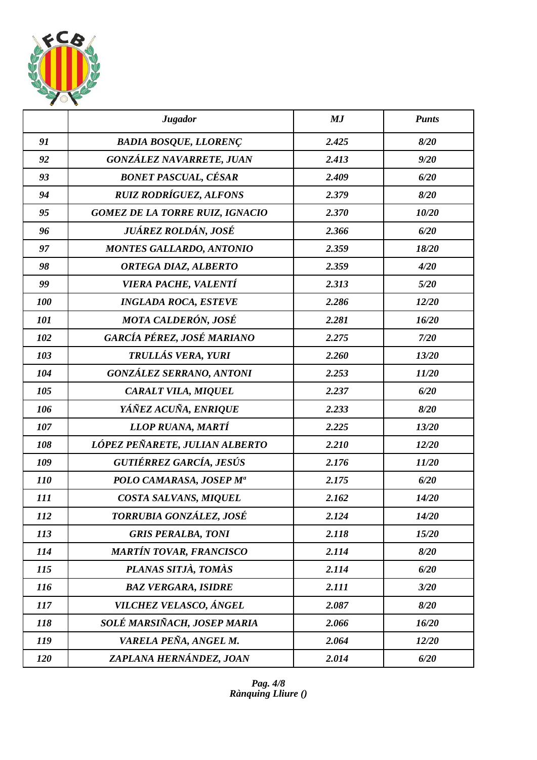

|            | <b>Jugador</b>                         | MJ    | <b>Punts</b> |
|------------|----------------------------------------|-------|--------------|
| 91         | <b>BADIA BOSQUE, LLORENÇ</b>           | 2.425 | 8/20         |
| 92         | <b>GONZÁLEZ NAVARRETE, JUAN</b>        | 2.413 | 9/20         |
| 93         | <b>BONET PASCUAL, CÉSAR</b>            | 2.409 | 6/20         |
| 94         | <b>RUIZ RODRÍGUEZ, ALFONS</b>          | 2.379 | 8/20         |
| 95         | <b>GOMEZ DE LA TORRE RUIZ, IGNACIO</b> | 2.370 | 10/20        |
| 96         | JUÁREZ ROLDÁN, JOSÉ                    | 2.366 | 6/20         |
| 97         | <b>MONTES GALLARDO, ANTONIO</b>        | 2.359 | 18/20        |
| 98         | ORTEGA DIAZ, ALBERTO                   | 2.359 | 4/20         |
| 99         | VIERA PACHE, VALENTÍ                   | 2.313 | 5/20         |
| 100        | <b>INGLADA ROCA, ESTEVE</b>            | 2.286 | 12/20        |
| 101        | <b>MOTA CALDERÓN, JOSÉ</b>             | 2.281 | 16/20        |
| 102        | GARCÍA PÉREZ, JOSÉ MARIANO             | 2.275 | 7/20         |
| 103        | TRULLÁS VERA, YURI                     | 2.260 | 13/20        |
| 104        | <b>GONZÁLEZ SERRANO, ANTONI</b>        | 2.253 | 11/20        |
| 105        | CARALT VILA, MIQUEL                    | 2.237 | 6/20         |
| 106        | YÁÑEZ ACUÑA, ENRIQUE                   | 2.233 | 8/20         |
| 107        | LLOP RUANA, MARTÍ                      | 2.225 | 13/20        |
| 108        | LÓPEZ PEÑARETE, JULIAN ALBERTO         | 2.210 | 12/20        |
| 109        | <b>GUTIÉRREZ GARCÍA, JESÚS</b>         | 2.176 | 11/20        |
| <i>110</i> | POLO CAMARASA, JOSEP Mª                | 2.175 | 6/20         |
| 111        | COSTA SALVANS, MIQUEL                  | 2.162 | 14/20        |
| 112        | TORRUBIA GONZÁLEZ, JOSÉ                | 2.124 | 14/20        |
| 113        | <b>GRIS PERALBA, TONI</b>              | 2.118 | 15/20        |
| 114        | <b>MARTÍN TOVAR, FRANCISCO</b>         | 2.114 | 8/20         |
| <i>115</i> | PLANAS SITJÀ, TOMÀS                    | 2.114 | 6/20         |
| <i>116</i> | <b>BAZ VERGARA, ISIDRE</b>             | 2.111 | 3/20         |
| 117        | VILCHEZ VELASCO, ÁNGEL                 | 2.087 | 8/20         |
| 118        | SOLÉ MARSIÑACH, JOSEP MARIA            | 2.066 | 16/20        |
| 119        | VARELA PEÑA, ANGEL M.                  | 2.064 | 12/20        |
| 120        | ZAPLANA HERNÁNDEZ, JOAN                | 2.014 | 6/20         |

*Pag. 4/8 Rànquing Lliure ()*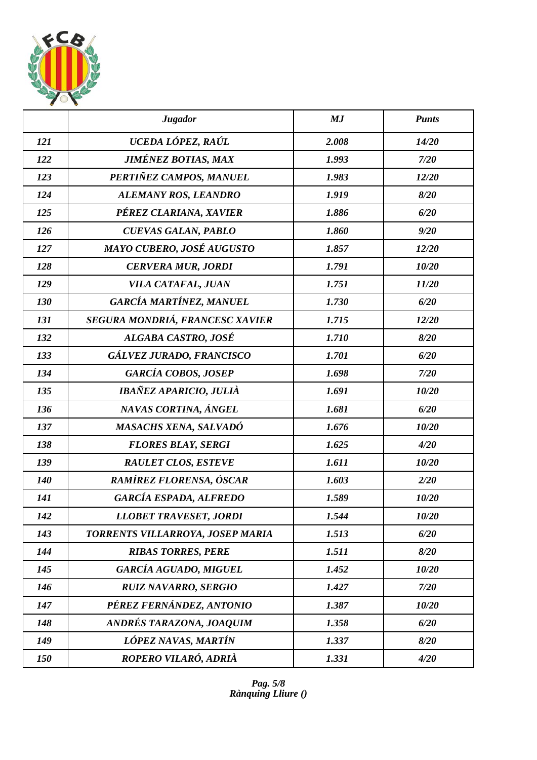

|     | <b>Jugador</b>                   | MJ    | <b>Punts</b> |
|-----|----------------------------------|-------|--------------|
| 121 | UCEDA LÓPEZ, RAÚL                | 2.008 | 14/20        |
| 122 | <b>JIMÉNEZ BOTIAS, MAX</b>       | 1.993 | 7/20         |
| 123 | PERTIÑEZ CAMPOS, MANUEL          | 1.983 | 12/20        |
| 124 | ALEMANY ROS, LEANDRO             | 1.919 | 8/20         |
| 125 | PÉREZ CLARIANA, XAVIER           | 1.886 | 6/20         |
| 126 | <b>CUEVAS GALAN, PABLO</b>       | 1.860 | 9/20         |
| 127 | MAYO CUBERO, JOSÉ AUGUSTO        | 1.857 | 12/20        |
| 128 | <b>CERVERA MUR, JORDI</b>        | 1.791 | 10/20        |
| 129 | VILA CATAFAL, JUAN               | 1.751 | 11/20        |
| 130 | GARCÍA MARTÍNEZ, MANUEL          | 1.730 | 6/20         |
| 131 | SEGURA MONDRIÁ, FRANCESC XAVIER  | 1.715 | 12/20        |
| 132 | ALGABA CASTRO, JOSÉ              | 1.710 | 8/20         |
| 133 | GÁLVEZ JURADO, FRANCISCO         | 1.701 | 6/20         |
| 134 | <b>GARCÍA COBOS, JOSEP</b>       | 1.698 | 7/20         |
| 135 | <b>IBAÑEZ APARICIO, JULIÀ</b>    | 1.691 | 10/20        |
| 136 | NAVAS CORTINA, ÁNGEL             | 1.681 | 6/20         |
| 137 | MASACHS XENA, SALVADÓ            | 1.676 | 10/20        |
| 138 | <b>FLORES BLAY, SERGI</b>        | 1.625 | 4/20         |
| 139 | <b>RAULET CLOS, ESTEVE</b>       | 1.611 | 10/20        |
| 140 | RAMÍREZ FLORENSA, ÓSCAR          | 1.603 | 2/20         |
| 141 | <b>GARCÍA ESPADA, ALFREDO</b>    | 1.589 | 10/20        |
| 142 | <b>LLOBET TRAVESET, JORDI</b>    | 1.544 | 10/20        |
| 143 | TORRENTS VILLARROYA, JOSEP MARIA | 1.513 | 6/20         |
| 144 | <b>RIBAS TORRES, PERE</b>        | 1.511 | 8/20         |
| 145 | <b>GARCÍA AGUADO, MIGUEL</b>     | 1.452 | 10/20        |
| 146 | <b>RUIZ NAVARRO, SERGIO</b>      | 1.427 | 7/20         |
| 147 | PÉREZ FERNÁNDEZ, ANTONIO         | 1.387 | 10/20        |
| 148 | ANDRÉS TARAZONA, JOAQUIM         | 1.358 | 6/20         |
| 149 | LÓPEZ NAVAS, MARTÍN              | 1.337 | 8/20         |
| 150 | ROPERO VILARÓ, ADRIÀ             | 1.331 | 4/20         |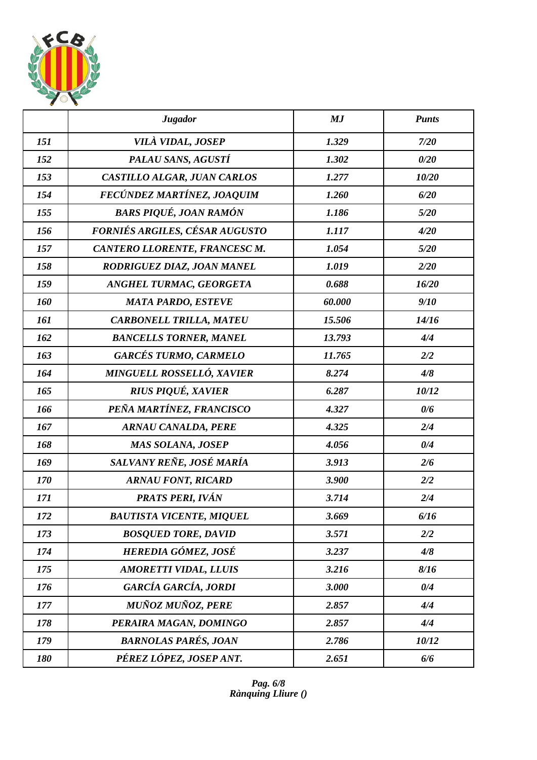

|     | <b>Jugador</b>                  | MJ     | <b>Punts</b> |
|-----|---------------------------------|--------|--------------|
| 151 | VILÀ VIDAL, JOSEP               | 1.329  | 7/20         |
| 152 | PALAU SANS, AGUSTÍ              | 1.302  | 0/20         |
| 153 | CASTILLO ALGAR, JUAN CARLOS     | 1.277  | 10/20        |
| 154 | FECÚNDEZ MARTÍNEZ, JOAQUIM      | 1.260  | 6/20         |
| 155 | <b>BARS PIQUÉ, JOAN RAMÓN</b>   | 1.186  | 5/20         |
| 156 | FORNIÉS ARGILES, CÉSAR AUGUSTO  | 1.117  | 4/20         |
| 157 | CANTERO LLORENTE, FRANCESC M.   | 1.054  | 5/20         |
| 158 | RODRIGUEZ DIAZ, JOAN MANEL      | 1.019  | 2/20         |
| 159 | ANGHEL TURMAC, GEORGETA         | 0.688  | 16/20        |
| 160 | <b>MATA PARDO, ESTEVE</b>       | 60.000 | 9/10         |
| 161 | <b>CARBONELL TRILLA, MATEU</b>  | 15.506 | 14/16        |
| 162 | <b>BANCELLS TORNER, MANEL</b>   | 13.793 | 4/4          |
| 163 | <b>GARCÉS TURMO, CARMELO</b>    | 11.765 | 2/2          |
| 164 | MINGUELL ROSSELLÓ, XAVIER       | 8.274  | 4/8          |
| 165 | <b>RIUS PIQUÉ, XAVIER</b>       | 6.287  | 10/12        |
| 166 | PEÑA MARTÍNEZ, FRANCISCO        | 4.327  | 0/6          |
| 167 | <b>ARNAU CANALDA, PERE</b>      | 4.325  | 2/4          |
| 168 | MAS SOLANA, JOSEP               | 4.056  | 0/4          |
| 169 | SALVANY REÑE, JOSÉ MARÍA        | 3.913  | 2/6          |
| 170 | <b>ARNAU FONT, RICARD</b>       | 3.900  | 2/2          |
| 171 | PRATS PERI, IVÁN                | 3.714  | 2/4          |
| 172 | <b>BAUTISTA VICENTE, MIQUEL</b> | 3.669  | 6/16         |
| 173 | <b>BOSQUED TORE, DAVID</b>      | 3.571  | 2/2          |
| 174 | HEREDIA GÓMEZ, JOSÉ             | 3.237  | 4/8          |
| 175 | <b>AMORETTI VIDAL, LLUIS</b>    | 3.216  | 8/16         |
| 176 | GARCÍA GARCÍA, JORDI            | 3.000  | 0/4          |
| 177 | <b>MUÑOZ MUÑOZ, PERE</b>        | 2.857  | 4/4          |
| 178 | PERAIRA MAGAN, DOMINGO          | 2.857  | 4/4          |
| 179 | <b>BARNOLAS PARÉS, JOAN</b>     | 2.786  | 10/12        |
| 180 | PÉREZ LÓPEZ, JOSEP ANT.         | 2.651  | 6/6          |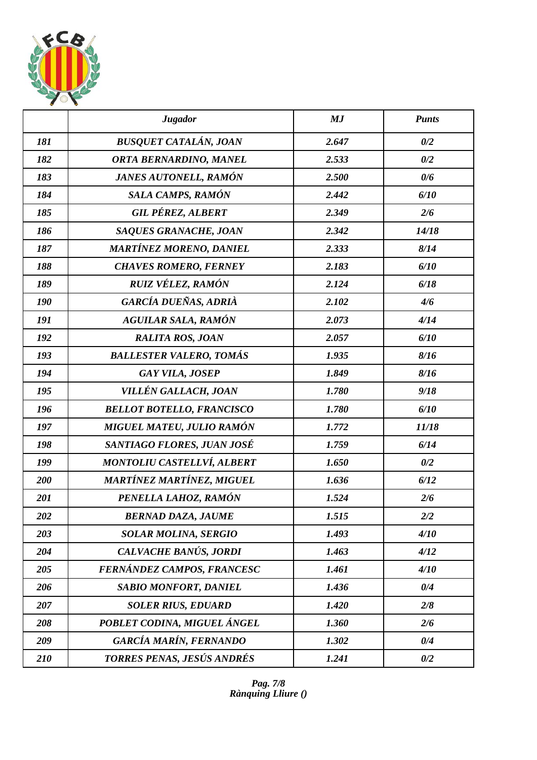

|     | <b>Jugador</b>                    | MJ    | <b>Punts</b> |
|-----|-----------------------------------|-------|--------------|
| 181 | <b>BUSQUET CATALÁN, JOAN</b>      | 2.647 | 0/2          |
| 182 | ORTA BERNARDINO, MANEL            | 2.533 | 0/2          |
| 183 | JANES AUTONELL, RAMÓN             | 2.500 | 0/6          |
| 184 | SALA CAMPS, RAMÓN                 | 2.442 | 6/10         |
| 185 | <b>GIL PÉREZ, ALBERT</b>          | 2.349 | 2/6          |
| 186 | <b>SAQUES GRANACHE, JOAN</b>      | 2.342 | 14/18        |
| 187 | <b>MARTÍNEZ MORENO, DANIEL</b>    | 2.333 | 8/14         |
| 188 | <b>CHAVES ROMERO, FERNEY</b>      | 2.183 | 6/10         |
| 189 | <b>RUIZ VÉLEZ, RAMÓN</b>          | 2.124 | 6/18         |
| 190 | GARCÍA DUEÑAS, ADRIÀ              | 2.102 | 4/6          |
| 191 | <b>AGUILAR SALA, RAMÓN</b>        | 2.073 | 4/14         |
| 192 | <b>RALITA ROS, JOAN</b>           | 2.057 | 6/10         |
| 193 | <b>BALLESTER VALERO, TOMÁS</b>    | 1.935 | 8/16         |
| 194 | <b>GAY VILA, JOSEP</b>            | 1.849 | 8/16         |
| 195 | VILLÉN GALLACH, JOAN              | 1.780 | 9/18         |
| 196 | <b>BELLOT BOTELLO, FRANCISCO</b>  | 1.780 | 6/10         |
| 197 | MIGUEL MATEU, JULIO RAMÓN         | 1.772 | 11/18        |
| 198 | SANTIAGO FLORES, JUAN JOSÉ        | 1.759 | 6/14         |
| 199 | <b>MONTOLIU CASTELLVÍ, ALBERT</b> | 1.650 | 0/2          |
| 200 | <b>MARTÍNEZ MARTÍNEZ, MIGUEL</b>  | 1.636 | 6/12         |
| 201 | PENELLA LAHOZ, RAMÓN              | 1.524 | 2/6          |
| 202 | <b>BERNAD DAZA, JAUME</b>         | 1.515 | 2/2          |
| 203 | <b>SOLAR MOLINA, SERGIO</b>       | 1.493 | 4/10         |
| 204 | CALVACHE BANÚS, JORDI             | 1.463 | 4/12         |
| 205 | FERNÁNDEZ CAMPOS, FRANCESC        | 1.461 | 4/10         |
| 206 | <b>SABIO MONFORT, DANIEL</b>      | 1.436 | 0/4          |
| 207 | <b>SOLER RIUS, EDUARD</b>         | 1.420 | 2/8          |
| 208 | POBLET CODINA, MIGUEL ÁNGEL       | 1.360 | 2/6          |
| 209 | <b>GARCÍA MARÍN, FERNANDO</b>     | 1.302 | 0/4          |
| 210 | TORRES PENAS, JESÚS ANDRÉS        | 1.241 | 0/2          |